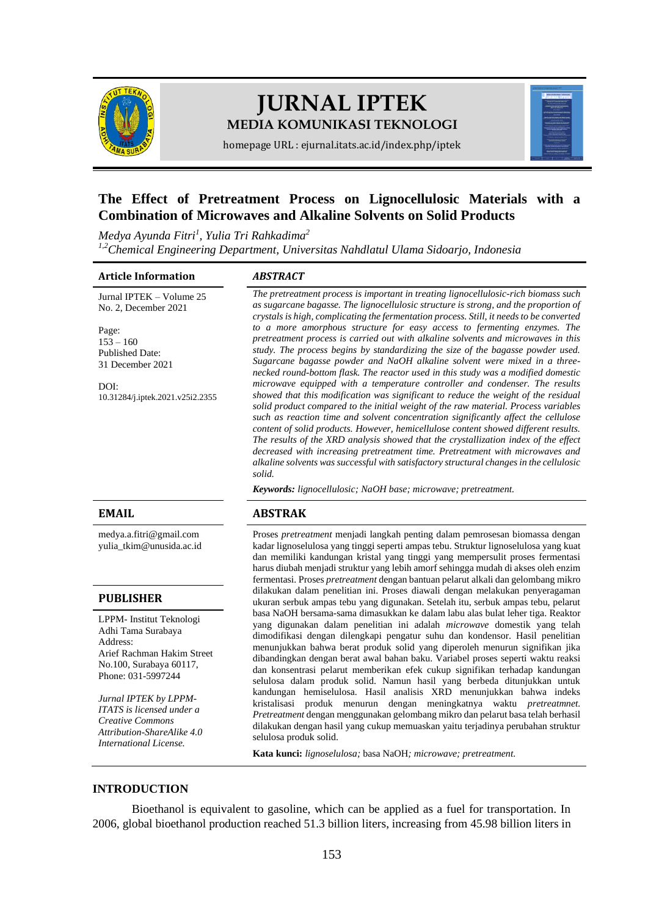

# **JURNAL IPTEK MEDIA KOMUNIKASI TEKNOLOGI**



homepage URL : ejurnal.itats.ac.id/index.php/iptek

# **The Effect of Pretreatment Process on Lignocellulosic Materials with a Combination of Microwaves and Alkaline Solvents on Solid Products**

*Medya Ayunda Fitri<sup>1</sup> , Yulia Tri Rahkadima<sup>2</sup> 1,2Chemical Engineering Department, Universitas Nahdlatul Ulama Sidoarjo, Indonesia*

#### **Article Information** *ABSTRACT*

Jurnal IPTEK – Volume 25 No. 2, December 2021

Page:  $153 - 160$ Published Date: 31 December 2021

DOI: [10.31284/j.iptek.2021.v25i2.235](https://doi.org/10.31284/j.iptek.2021.v25i2.2355)5

[medya.a.fitri@gmail.com](mailto:medya.a.fitri@gmail.com) [yulia\\_tkim@unusida.ac.id](mailto:yulia_tkim@unusida.ac.id)

#### **PUBLISHER**

LPPM- Institut Teknologi Adhi Tama Surabaya Address: Arief Rachman Hakim Street No.100, Surabaya 60117, Phone: 031-5997244

*Jurnal IPTEK by LPPM-ITATS is licensed under a Creative Commons Attribution-ShareAlike 4.0 International License.*

*The pretreatment process is important in treating lignocellulosic-rich biomass such as sugarcane bagasse. The lignocellulosic structure is strong, and the proportion of crystals is high, complicating the fermentation process. Still, it needs to be converted to a more amorphous structure for easy access to fermenting enzymes. The pretreatment process is carried out with alkaline solvents and microwaves in this study. The process begins by standardizing the size of the bagasse powder used. Sugarcane bagasse powder and NaOH alkaline solvent were mixed in a threenecked round-bottom flask. The reactor used in this study was a modified domestic microwave equipped with a temperature controller and condenser. The results showed that this modification was significant to reduce the weight of the residual solid product compared to the initial weight of the raw material. Process variables such as reaction time and solvent concentration significantly affect the cellulose content of solid products. However, hemicellulose content showed different results. The results of the XRD analysis showed that the crystallization index of the effect decreased with increasing pretreatment time. Pretreatment with microwaves and alkaline solvents was successful with satisfactory structural changes in the cellulosic solid.*

*Keywords: lignocellulosic; NaOH base; microwave; pretreatment.*

### **EMAIL ABSTRAK**

Proses *pretreatment* menjadi langkah penting dalam pemrosesan biomassa dengan kadar lignoselulosa yang tinggi seperti ampas tebu. Struktur lignoselulosa yang kuat dan memiliki kandungan kristal yang tinggi yang mempersulit proses fermentasi harus diubah menjadi struktur yang lebih amorf sehingga mudah di akses oleh enzim fermentasi. Proses *pretreatment* dengan bantuan pelarut alkali dan gelombang mikro dilakukan dalam penelitian ini. Proses diawali dengan melakukan penyeragaman ukuran serbuk ampas tebu yang digunakan. Setelah itu, serbuk ampas tebu, pelarut basa NaOH bersama-sama dimasukkan ke dalam labu alas bulat leher tiga. Reaktor yang digunakan dalam penelitian ini adalah *microwave* domestik yang telah dimodifikasi dengan dilengkapi pengatur suhu dan kondensor. Hasil penelitian menunjukkan bahwa berat produk solid yang diperoleh menurun signifikan jika dibandingkan dengan berat awal bahan baku. Variabel proses seperti waktu reaksi dan konsentrasi pelarut memberikan efek cukup signifikan terhadap kandungan selulosa dalam produk solid. Namun hasil yang berbeda ditunjukkan untuk kandungan hemiselulosa. Hasil analisis XRD menunjukkan bahwa indeks kristalisasi produk menurun dengan meningkatnya waktu *pretreatmnet. Pretreatment* dengan menggunakan gelombang mikro dan pelarut basa telah berhasil dilakukan dengan hasil yang cukup memuaskan yaitu terjadinya perubahan struktur selulosa produk solid.

**Kata kunci:** *lignoselulosa;* basa NaOH*; microwave; pretreatment.*

### **INTRODUCTION**

Bioethanol is equivalent to gasoline, which can be applied as a fuel for transportation. In 2006, global bioethanol production reached 51.3 billion liters, increasing from 45.98 billion liters in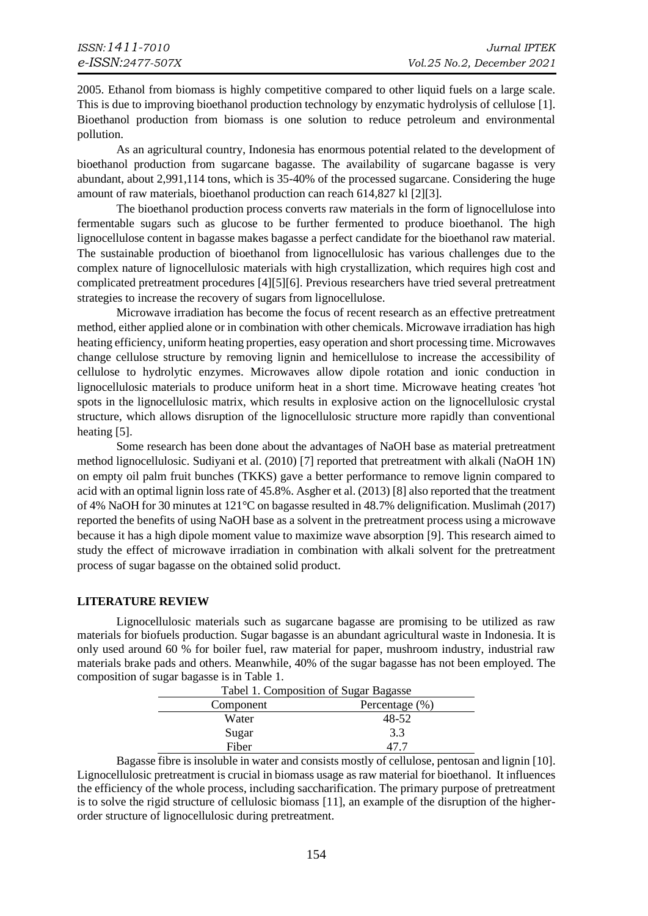2005. Ethanol from biomass is highly competitive compared to other liquid fuels on a large scale. This is due to improving bioethanol production technology by enzymatic hydrolysis of cellulose [\[1\].](#page-6-0) Bioethanol production from biomass is one solution to reduce petroleum and environmental pollution.

As an agricultural country, Indonesia has enormous potential related to the development of bioethanol production from sugarcane bagasse. The availability of sugarcane bagasse is very abundant, about 2,991,114 tons, which is 35-40% of the processed sugarcane. Considering the huge amount of raw materials, bioethanol production can reach 614,827 kl [\[2\]](#page-6-1)[\[3\].](#page-6-2)

The bioethanol production process converts raw materials in the form of lignocellulose into fermentable sugars such as glucose to be further fermented to produce bioethanol. The high lignocellulose content in bagasse makes bagasse a perfect candidate for the bioethanol raw material. The sustainable production of bioethanol from lignocellulosic has various challenges due to the complex nature of lignocellulosic materials with high crystallization, which requires high cost and complicated pretreatment procedures [\[4\]](#page-6-3)[\[5\]](#page-6-4)[\[6\].](#page-6-5) Previous researchers have tried several pretreatment strategies to increase the recovery of sugars from lignocellulose.

Microwave irradiation has become the focus of recent research as an effective pretreatment method, either applied alone or in combination with other chemicals. Microwave irradiation has high heating efficiency, uniform heating properties, easy operation and short processing time. Microwaves change cellulose structure by removing lignin and hemicellulose to increase the accessibility of cellulose to hydrolytic enzymes. Microwaves allow dipole rotation and ionic conduction in lignocellulosic materials to produce uniform heat in a short time. Microwave heating creates 'hot spots in the lignocellulosic matrix, which results in explosive action on the lignocellulosic crystal structure, which allows disruption of the lignocellulosic structure more rapidly than conventional heating [5].

Some research has been done about the advantages of NaOH base as material pretreatment method lignocellulosic. Sudiyani et al. (2010) [\[7\]](#page-6-6) reported that pretreatment with alkali (NaOH 1N) on empty oil palm fruit bunches (TKKS) gave a better performance to remove lignin compared to acid with an optimal lignin loss rate of 45.8%. Asgher et al. (2013[\) \[8\]](#page-6-7) also reported that the treatment of 4% NaOH for 30 minutes at 121°C on bagasse resulted in 48.7% delignification. Muslimah (2017) reported the benefits of using NaOH base as a solvent in the pretreatment process using a microwave because it has a high dipole moment value to maximize wave absorption [\[9\].](#page-6-8) This research aimed to study the effect of microwave irradiation in combination with alkali solvent for the pretreatment process of sugar bagasse on the obtained solid product.

### **LITERATURE REVIEW**

Lignocellulosic materials such as sugarcane bagasse are promising to be utilized as raw materials for biofuels production. Sugar bagasse is an abundant agricultural waste in Indonesia. It is only used around 60 % for boiler fuel, raw material for paper, mushroom industry, industrial raw materials brake pads and others. Meanwhile, 40% of the sugar bagasse has not been employed. The composition of sugar bagasse is in Table 1.

| Tabel 1. Composition of Sugar Bagasse |                   |
|---------------------------------------|-------------------|
| Component                             | Percentage $(\%)$ |
| Water                                 | 48-52             |
| Sugar                                 | 3.3               |
| Fiber                                 | 47 T              |

Bagasse fibre is insoluble in water and consists mostly of cellulose, pentosan and lignin [\[10\].](#page-6-9) Lignocellulosic pretreatment is crucial in biomass usage as raw material for bioethanol. It influences the efficiency of the whole process, including saccharification. The primary purpose of pretreatment is to solve the rigid structure of cellulosic biomass [\[11\],](#page-6-10) an example of the disruption of the higherorder structure of lignocellulosic during pretreatment.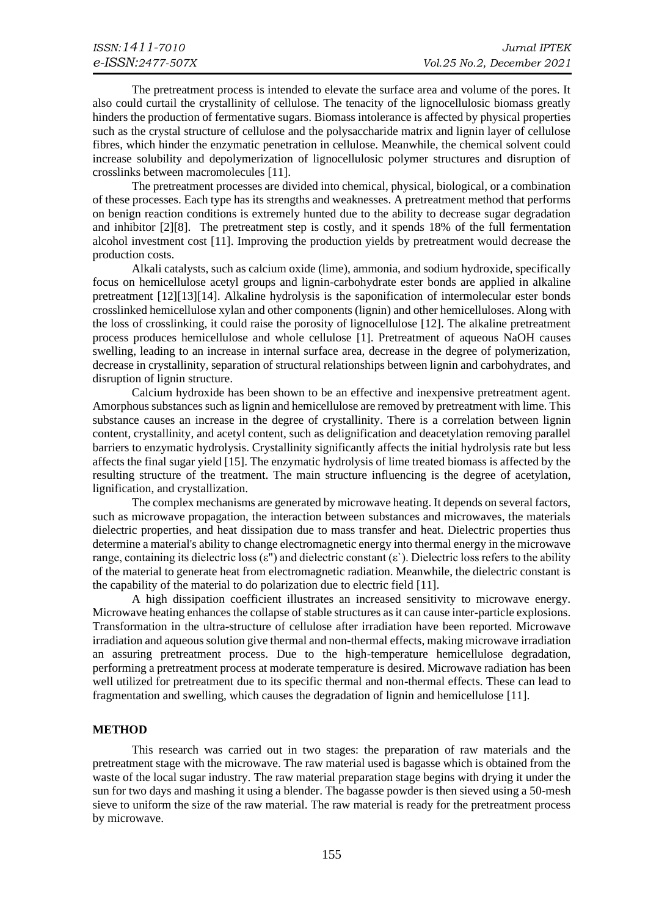The pretreatment process is intended to elevate the surface area and volume of the pores. It also could curtail the crystallinity of cellulose. The tenacity of the lignocellulosic biomass greatly hinders the production of fermentative sugars. Biomass intolerance is affected by physical properties such as the crystal structure of cellulose and the polysaccharide matrix and lignin layer of cellulose fibres, which hinder the enzymatic penetration in cellulose. Meanwhile, the chemical solvent could increase solubility and depolymerization of lignocellulosic polymer structures and disruption of crosslinks between macromolecules [\[11\].](#page-6-10)

The pretreatment processes are divided into chemical, physical, biological, or a combination of these processes. Each type has its strengths and weaknesses. A pretreatment method that performs on benign reaction conditions is extremely hunted due to the ability to decrease sugar degradation and inhibitor [\[2\]](#page-6-1)[\[8\].](#page-6-7) The pretreatment step is costly, and it spends 18% of the full fermentation alcohol investment cost [\[11\].](#page-6-10) Improving the production yields by pretreatment would decrease the production costs.

Alkali catalysts, such as calcium oxide (lime), ammonia, and sodium hydroxide, specifically focus on hemicellulose acetyl groups and lignin-carbohydrate ester bonds are applied in alkaline pretreatment [\[12\]](#page-7-0)[\[13\]](#page-7-1)[\[14\].](#page-7-2) Alkaline hydrolysis is the saponification of intermolecular ester bonds crosslinked hemicellulose xylan and other components (lignin) and other hemicelluloses. Along with the loss of crosslinking, it could raise the porosity of lignocellulose [\[12\].](#page-7-0) The alkaline pretreatment process produces hemicellulose and whole cellulose [\[1\].](#page-6-0) Pretreatment of aqueous NaOH causes swelling, leading to an increase in internal surface area, decrease in the degree of polymerization, decrease in crystallinity, separation of structural relationships between lignin and carbohydrates, and disruption of lignin structure.

Calcium hydroxide has been shown to be an effective and inexpensive pretreatment agent. Amorphous substances such as lignin and hemicellulose are removed by pretreatment with lime. This substance causes an increase in the degree of crystallinity. There is a correlation between lignin content, crystallinity, and acetyl content, such as delignification and deacetylation removing parallel barriers to enzymatic hydrolysis. Crystallinity significantly affects the initial hydrolysis rate but less affects the final sugar yield [\[15\].](#page-7-3) The enzymatic hydrolysis of lime treated biomass is affected by the resulting structure of the treatment. The main structure influencing is the degree of acetylation, lignification, and crystallization.

The complex mechanisms are generated by microwave heating. It depends on several factors, such as microwave propagation, the interaction between substances and microwaves, the materials dielectric properties, and heat dissipation due to mass transfer and heat. Dielectric properties thus determine a material's ability to change electromagnetic energy into thermal energy in the microwave range, containing its dielectric loss  $(\epsilon$ ") and dielectric constant  $(\epsilon)$ . Dielectric loss refers to the ability of the material to generate heat from electromagnetic radiation. Meanwhile, the dielectric constant is the capability of the material to do polarization due to electric field [\[11\].](#page-6-10)

A high dissipation coefficient illustrates an increased sensitivity to microwave energy. Microwave heating enhances the collapse of stable structures as it can cause inter-particle explosions. Transformation in the ultra-structure of cellulose after irradiation have been reported. Microwave irradiation and aqueous solution give thermal and non-thermal effects, making microwave irradiation an assuring pretreatment process. Due to the high-temperature hemicellulose degradation, performing a pretreatment process at moderate temperature is desired. Microwave radiation has been well utilized for pretreatment due to its specific thermal and non-thermal effects. These can lead to fragmentation and swelling, which causes the degradation of lignin and hemicellulose [\[11\].](#page-6-10)

#### **METHOD**

This research was carried out in two stages: the preparation of raw materials and the pretreatment stage with the microwave. The raw material used is bagasse which is obtained from the waste of the local sugar industry. The raw material preparation stage begins with drying it under the sun for two days and mashing it using a blender. The bagasse powder is then sieved using a 50-mesh sieve to uniform the size of the raw material. The raw material is ready for the pretreatment process by microwave.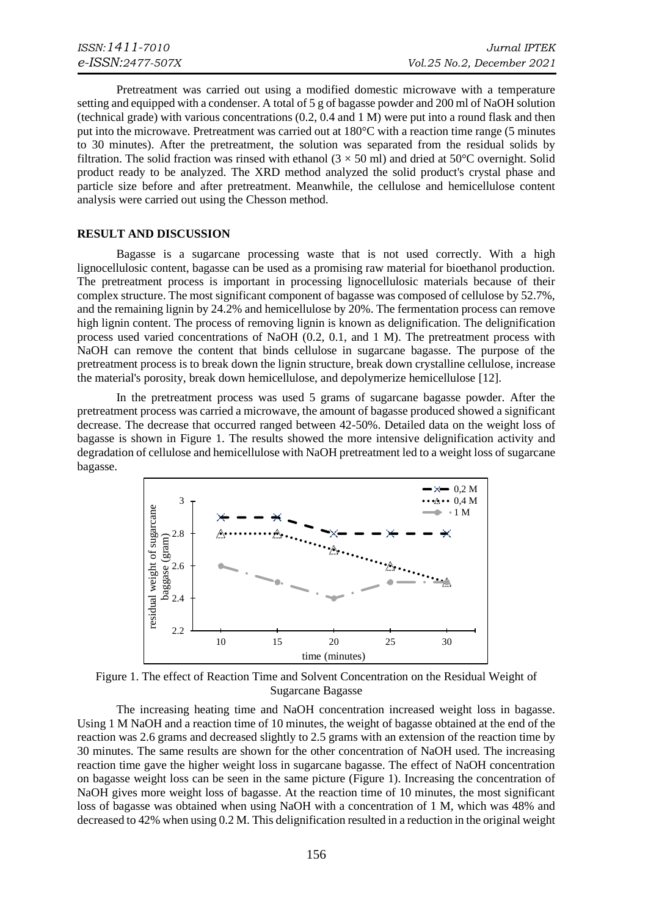Pretreatment was carried out using a modified domestic microwave with a temperature setting and equipped with a condenser. A total of 5 g of bagasse powder and 200 ml of NaOH solution (technical grade) with various concentrations (0.2, 0.4 and 1 M) were put into a round flask and then put into the microwave. Pretreatment was carried out at 180°C with a reaction time range (5 minutes to 30 minutes). After the pretreatment, the solution was separated from the residual solids by filtration. The solid fraction was rinsed with ethanol  $(3 \times 50 \text{ ml})$  and dried at  $50^{\circ}$ C overnight. Solid product ready to be analyzed. The XRD method analyzed the solid product's crystal phase and particle size before and after pretreatment. Meanwhile, the cellulose and hemicellulose content analysis were carried out using the Chesson method.

#### **RESULT AND DISCUSSION**

Bagasse is a sugarcane processing waste that is not used correctly. With a high lignocellulosic content, bagasse can be used as a promising raw material for bioethanol production. The pretreatment process is important in processing lignocellulosic materials because of their complex structure. The most significant component of bagasse was composed of cellulose by 52.7%, and the remaining lignin by 24.2% and hemicellulose by 20%. The fermentation process can remove high lignin content. The process of removing lignin is known as delignification. The delignification process used varied concentrations of NaOH (0.2, 0.1, and 1 M). The pretreatment process with NaOH can remove the content that binds cellulose in sugarcane bagasse. The purpose of the pretreatment process is to break down the lignin structure, break down crystalline cellulose, increase the material's porosity, break down hemicellulose, and depolymerize hemicellulose [\[12\].](#page-7-0)

In the pretreatment process was used 5 grams of sugarcane bagasse powder. After the pretreatment process was carried a microwave, the amount of bagasse produced showed a significant decrease. The decrease that occurred ranged between 42-50%. Detailed data on the weight loss of bagasse is shown in Figure 1. The results showed the more intensive delignification activity and degradation of cellulose and hemicellulose with NaOH pretreatment led to a weight loss of sugarcane bagasse.



Figure 1. The effect of Reaction Time and Solvent Concentration on the Residual Weight of Sugarcane Bagasse

The increasing heating time and NaOH concentration increased weight loss in bagasse. Using 1 M NaOH and a reaction time of 10 minutes, the weight of bagasse obtained at the end of the reaction was 2.6 grams and decreased slightly to 2.5 grams with an extension of the reaction time by 30 minutes. The same results are shown for the other concentration of NaOH used. The increasing reaction time gave the higher weight loss in sugarcane bagasse. The effect of NaOH concentration on bagasse weight loss can be seen in the same picture (Figure 1). Increasing the concentration of NaOH gives more weight loss of bagasse. At the reaction time of 10 minutes, the most significant loss of bagasse was obtained when using NaOH with a concentration of 1 M, which was 48% and decreased to 42% when using 0.2 M. This delignification resulted in a reduction in the original weight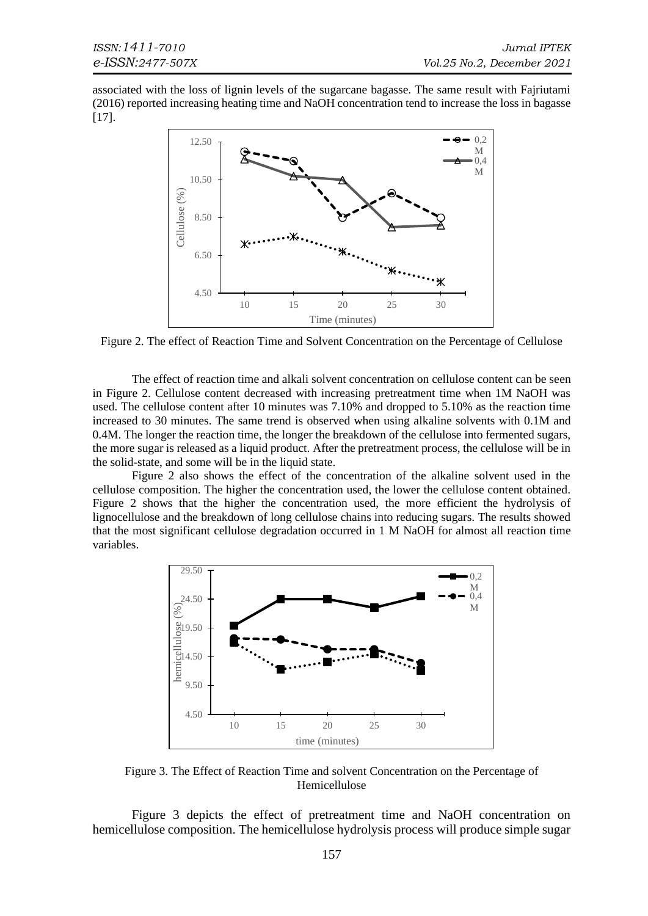associated with the loss of lignin levels of the sugarcane bagasse. The same result with Fajriutami (2016) reported increasing heating time and NaOH concentration tend to increase the loss in bagasse [\[17\].](#page-7-4)



Figure 2. The effect of Reaction Time and Solvent Concentration on the Percentage of Cellulose

The effect of reaction time and alkali solvent concentration on cellulose content can be seen in Figure 2. Cellulose content decreased with increasing pretreatment time when 1M NaOH was used. The cellulose content after 10 minutes was 7.10% and dropped to 5.10% as the reaction time increased to 30 minutes. The same trend is observed when using alkaline solvents with 0.1M and 0.4M. The longer the reaction time, the longer the breakdown of the cellulose into fermented sugars, the more sugar is released as a liquid product. After the pretreatment process, the cellulose will be in the solid-state, and some will be in the liquid state.

Figure 2 also shows the effect of the concentration of the alkaline solvent used in the cellulose composition. The higher the concentration used, the lower the cellulose content obtained. Figure 2 shows that the higher the concentration used, the more efficient the hydrolysis of lignocellulose and the breakdown of long cellulose chains into reducing sugars. The results showed that the most significant cellulose degradation occurred in 1 M NaOH for almost all reaction time variables.



Figure 3. The Effect of Reaction Time and solvent Concentration on the Percentage of Hemicellulose

Figure 3 depicts the effect of pretreatment time and NaOH concentration on hemicellulose composition. The hemicellulose hydrolysis process will produce simple sugar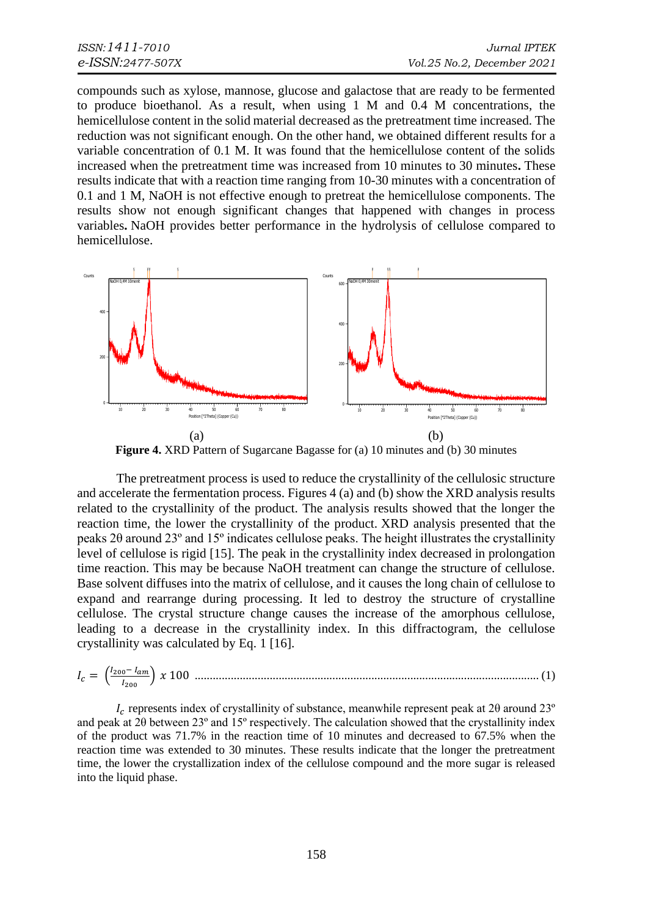compounds such as xylose, mannose, glucose and galactose that are ready to be fermented to produce bioethanol. As a result, when using 1 M and 0.4 M concentrations, the hemicellulose content in the solid material decreased as the pretreatment time increased. The reduction was not significant enough. On the other hand, we obtained different results for a variable concentration of 0.1 M. It was found that the hemicellulose content of the solids increased when the pretreatment time was increased from 10 minutes to 30 minutes**.** These results indicate that with a reaction time ranging from 10-30 minutes with a concentration of 0.1 and 1 M, NaOH is not effective enough to pretreat the hemicellulose components. The results show not enough significant changes that happened with changes in process variables**.** NaOH provides better performance in the hydrolysis of cellulose compared to hemicellulose.



**Figure 4.** XRD Pattern of Sugarcane Bagasse for (a) 10 minutes and (b) 30 minutes

The pretreatment process is used to reduce the crystallinity of the cellulosic structure and accelerate the fermentation process. Figures 4 (a) and (b) show the XRD analysis results related to the crystallinity of the product. The analysis results showed that the longer the reaction time, the lower the crystallinity of the product. XRD analysis presented that the peaks 2θ around 23º and 15º indicates cellulose peaks. The height illustrates the crystallinity level of cellulose is rigid [\[15\].](#page-7-3) The peak in the crystallinity index decreased in prolongation time reaction. This may be because NaOH treatment can change the structure of cellulose. Base solvent diffuses into the matrix of cellulose, and it causes the long chain of cellulose to expand and rearrange during processing. It led to destroy the structure of crystalline cellulose. The crystal structure change causes the increase of the amorphous cellulose, leading to a decrease in the crystallinity index. In this diffractogram, the cellulose crystallinity was calculated by Eq. 1 [\[16\].](#page-7-5)

 = ( 200− <sup>200</sup> ) 100 ................................................................................................................... (1)

 $I_c$  represents index of crystallinity of substance, meanwhile represent peak at 2θ around 23<sup>°</sup> and peak at 2θ between 23º and 15º respectively. The calculation showed that the crystallinity index of the product was 71.7% in the reaction time of 10 minutes and decreased to 67.5% when the reaction time was extended to 30 minutes. These results indicate that the longer the pretreatment time, the lower the crystallization index of the cellulose compound and the more sugar is released into the liquid phase.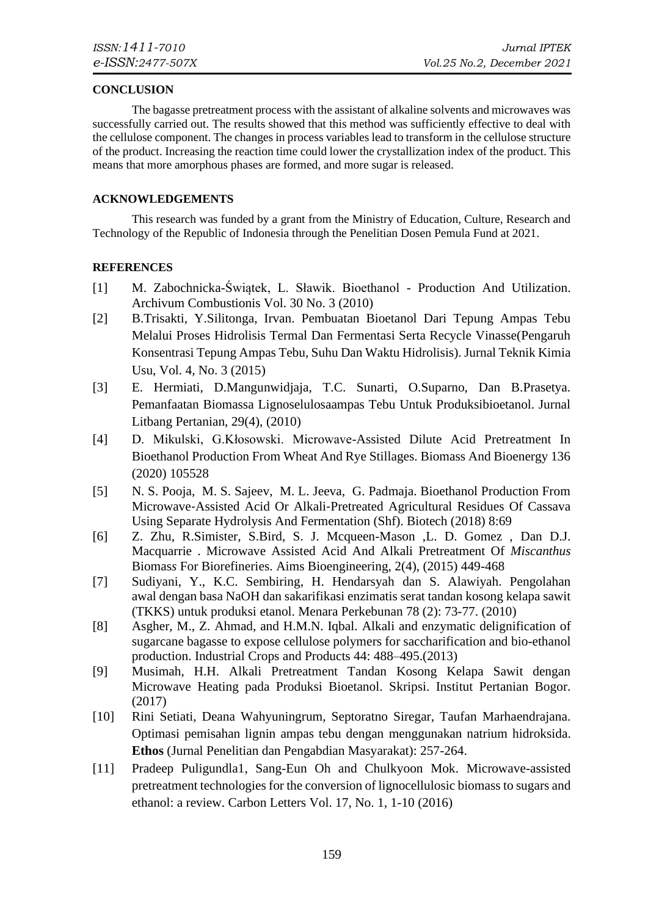### **CONCLUSION**

The bagasse pretreatment process with the assistant of alkaline solvents and microwaves was successfully carried out. The results showed that this method was sufficiently effective to deal with the cellulose component. The changes in process variables lead to transform in the cellulose structure of the product. Increasing the reaction time could lower the crystallization index of the product. This means that more amorphous phases are formed, and more sugar is released.

## **ACKNOWLEDGEMENTS**

This research was funded by a grant from the Ministry of Education, Culture, Research and Technology of the Republic of Indonesia through the Penelitian Dosen Pemula Fund at 2021.

# **REFERENCES**

- <span id="page-6-0"></span>[1] M. Zabochnicka-Świątek, L. Sławik. Bioethanol - Production And Utilization. Archivum Combustionis Vol. 30 No. 3 (2010)
- <span id="page-6-1"></span>[2] B.Trisakti, Y.Silitonga, Irvan. Pembuatan Bioetanol Dari Tepung Ampas Tebu Melalui Proses Hidrolisis Termal Dan Fermentasi Serta Recycle Vinasse(Pengaruh Konsentrasi Tepung Ampas Tebu, Suhu Dan Waktu Hidrolisis). Jurnal Teknik Kimia Usu, Vol. 4, No. 3 (2015)
- <span id="page-6-2"></span>[3] E. Hermiati, D.Mangunwidjaja, T.C. Sunarti, O.Suparno, Dan B.Prasetya. Pemanfaatan Biomassa Lignoselulosaampas Tebu Untuk Produksibioetanol. Jurnal Litbang Pertanian, 29(4), (2010)
- <span id="page-6-3"></span>[4] D. Mikulski, G.Kłosowski. Microwave-Assisted Dilute Acid Pretreatment In Bioethanol Production From Wheat And Rye Stillages. Biomass And Bioenergy 136 (2020) 105528
- <span id="page-6-4"></span>[5] N. S. Pooja, M. S. Sajeev, M. L. Jeeva, G. Padmaja. Bioethanol Production From Microwave‑Assisted Acid Or Alkali‑Pretreated Agricultural Residues Of Cassava Using Separate Hydrolysis And Fermentation (Shf). Biotech (2018) 8:69
- <span id="page-6-5"></span>[6] Z. Zhu, R.Simister, S.Bird, S. J. Mcqueen-Mason ,L. D. Gomez , Dan D.J. Macquarrie . Microwave Assisted Acid And Alkali Pretreatment Of *Miscanthus*  Biomas*s* For Biorefineries. Aims Bioengineering, 2(4), (2015) 449-468
- <span id="page-6-6"></span>[7] Sudiyani, Y., K.C. Sembiring, H. Hendarsyah dan S. Alawiyah. Pengolahan awal dengan basa NaOH dan sakarifikasi enzimatis serat tandan kosong kelapa sawit (TKKS) untuk produksi etanol. Menara Perkebunan 78 (2): 73-77. (2010)
- <span id="page-6-7"></span>[8] Asgher, M., Z. Ahmad, and H.M.N. Iqbal. Alkali and enzymatic delignification of sugarcane bagasse to expose cellulose polymers for saccharification and bio-ethanol production. Industrial Crops and Products 44: 488–495.(2013)
- <span id="page-6-8"></span>[9] Musimah, H.H. Alkali Pretreatment Tandan Kosong Kelapa Sawit dengan Microwave Heating pada Produksi Bioetanol. Skripsi. Institut Pertanian Bogor. (2017)
- <span id="page-6-9"></span>[10] Rini Setiati, Deana Wahyuningrum, Septoratno Siregar, Taufan Marhaendrajana. Optimasi pemisahan lignin ampas tebu dengan menggunakan natrium hidroksida. **Ethos** (Jurnal Penelitian dan Pengabdian Masyarakat): 257-264.
- <span id="page-6-10"></span>[11] Pradeep Puligundla1, Sang-Eun Oh and Chulkyoon Mok. Microwave-assisted pretreatment technologies for the conversion of lignocellulosic biomass to sugars and ethanol: a review. Carbon Letters Vol. 17, No. 1, 1-10 (2016)